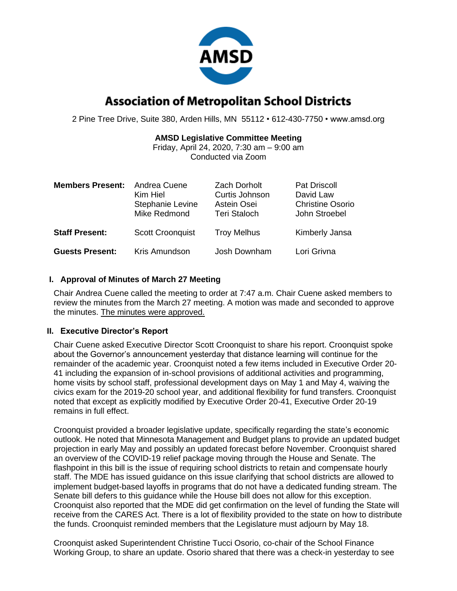

# **Association of Metropolitan School Districts**

2 Pine Tree Drive, Suite 380, Arden Hills, MN 55112 • 612-430-7750 • www.amsd.org

# **AMSD Legislative Committee Meeting**

Friday, April 24, 2020, 7:30 am – 9:00 am Conducted via Zoom

| <b>Members Present:</b> | Andrea Cuene<br>Kim Hiel<br>Stephanie Levine<br>Mike Redmond | <b>Zach Dorholt</b><br>Curtis Johnson<br>Astein Osei<br><b>Teri Staloch</b> | Pat Driscoll<br>David Law<br><b>Christine Osorio</b><br>John Stroebel |
|-------------------------|--------------------------------------------------------------|-----------------------------------------------------------------------------|-----------------------------------------------------------------------|
| <b>Staff Present:</b>   | <b>Scott Croonquist</b>                                      | <b>Troy Melhus</b>                                                          | Kimberly Jansa                                                        |
| <b>Guests Present:</b>  | Kris Amundson                                                | Josh Downham                                                                | Lori Grivna                                                           |

# **I. Approval of Minutes of March 27 Meeting**

Chair Andrea Cuene called the meeting to order at 7:47 a.m. Chair Cuene asked members to review the minutes from the March 27 meeting. A motion was made and seconded to approve the minutes. The minutes were approved.

## **II. Executive Director's Report**

Chair Cuene asked Executive Director Scott Croonquist to share his report. Croonquist spoke about the Governor's announcement yesterday that distance learning will continue for the remainder of the academic year. Croonquist noted a few items included in Executive Order 20- 41 including the expansion of in-school provisions of additional activities and programming, home visits by school staff, professional development days on May 1 and May 4, waiving the civics exam for the 2019-20 school year, and additional flexibility for fund transfers. Croonquist noted that except as explicitly modified by Executive Order 20-41, Executive Order 20-19 remains in full effect.

Croonquist provided a broader legislative update, specifically regarding the state's economic outlook. He noted that Minnesota Management and Budget plans to provide an updated budget projection in early May and possibly an updated forecast before November. Croonquist shared an overview of the COVID-19 relief package moving through the House and Senate. The flashpoint in this bill is the issue of requiring school districts to retain and compensate hourly staff. The MDE has issued guidance on this issue clarifying that school districts are allowed to implement budget-based layoffs in programs that do not have a dedicated funding stream. The Senate bill defers to this guidance while the House bill does not allow for this exception. Croonquist also reported that the MDE did get confirmation on the level of funding the State will receive from the CARES Act. There is a lot of flexibility provided to the state on how to distribute the funds. Croonquist reminded members that the Legislature must adjourn by May 18.

Croonquist asked Superintendent Christine Tucci Osorio, co-chair of the School Finance Working Group, to share an update. Osorio shared that there was a check-in yesterday to see